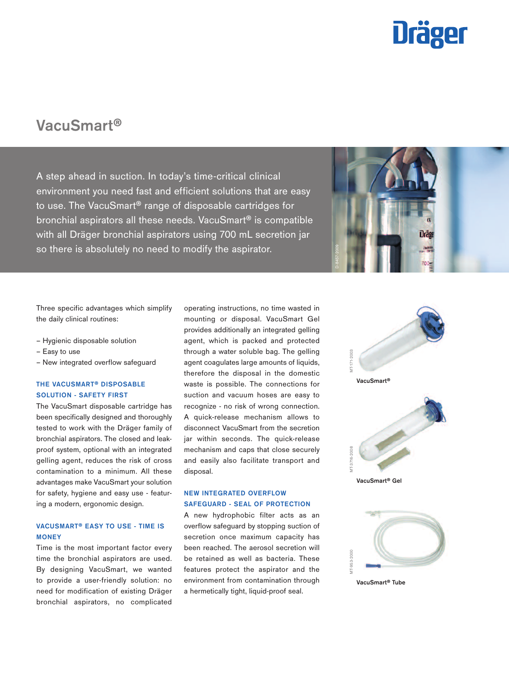

# VacuSmart®

A step ahead in suction. In today's time-critical clinical environment you need fast and efficient solutions that are easy to use. The VacuSmart® range of disposable cartridges for bronchial aspirators all these needs. VacuSmart® is compatible with all Dräger bronchial aspirators using 700 mL secretion jar so there is absolutely no need to modify the aspirator.



Three specific advantages which simplify the daily clinical routines:

- Hygienic disposable solution
- Easy to use
- New integrated overflow safeguard

# THE VACUSMART® DISPOSABLE SOLUTION - SAFETY FIRST

The VacuSmart disposable cartridge has been specifically designed and thoroughly tested to work with the Dräger family of bronchial aspirators. The closed and leakproof system, optional with an integrated gelling agent, reduces the risk of cross contamination to a minimum. All these advantages make VacuSmart your solution for safety, hygiene and easy use - featuring a modern, ergonomic design.

# VACUSMART® EASY TO USE - TIME IS **MONEY**

Time is the most important factor every time the bronchial aspirators are used. By designing VacuSmart, we wanted to provide a user-friendly solution: no need for modification of existing Dräger bronchial aspirators, no complicated

operating instructions, no time wasted in mounting or disposal. VacuSmart Gel provides additionally an integrated gelling agent, which is packed and protected through a water soluble bag. The gelling agent coagulates large amounts of liquids, therefore the disposal in the domestic waste is possible. The connections for suction and vacuum hoses are easy to recognize - no risk of wrong connection. A quick-release mechanism allows to disconnect VacuSmart from the secretion jar within seconds. The quick-release mechanism and caps that close securely and easily also facilitate transport and disposal.

## NEW INTEGRATED OVERFLOW SAFEGUARD - SEAL OF PROTECTION

A new hydrophobic filter acts as an overflow safeguard by stopping suction of secretion once maximum capacity has been reached. The aerosol secretion will be retained as well as bacteria. These features protect the aspirator and the environment from contamination through a hermetically tight, liquid-proof seal.





VacuSmart® Tube